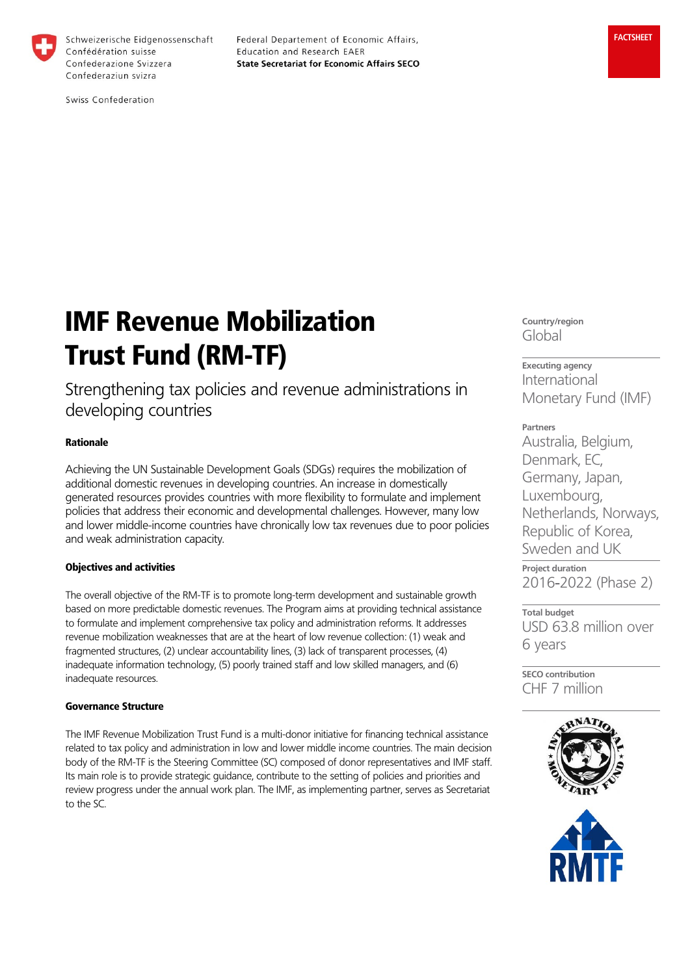

Schweizerische Eidgenossenschaft Confédération suisse Confederazione Svizzera Confederaziun svizra

Federal Departement of Economic Affairs, Education and Research EAER **State Secretariat for Economic Affairs SECO** 

Swiss Confederation

# IMF Revenue Mobilization Trust Fund (RM-TF)

Strengthening tax policies and revenue administrations in developing countries

# Rationale

Achieving the UN Sustainable Development Goals (SDGs) requires the mobilization of additional domestic revenues in developing countries. An increase in domestically generated resources provides countries with more flexibility to formulate and implement policies that address their economic and developmental challenges. However, many low and lower middle-income countries have chronically low tax revenues due to poor policies and weak administration capacity.

# Objectives and activities

The overall objective of the RM-TF is to promote long-term development and sustainable growth based on more predictable domestic revenues. The Program aims at providing technical assistance to formulate and implement comprehensive tax policy and administration reforms. It addresses revenue mobilization weaknesses that are at the heart of low revenue collection: (1) weak and fragmented structures, (2) unclear accountability lines, (3) lack of transparent processes, (4) inadequate information technology, (5) poorly trained staff and low skilled managers, and (6) inadequate resources.

# Governance Structure

The IMF Revenue Mobilization Trust Fund is a multi-donor initiative for financing technical assistance related to tax policy and administration in low and lower middle income countries. The main decision body of the RM-TF is the Steering Committee (SC) composed of donor representatives and IMF staff. Its main role is to provide strategic guidance, contribute to the setting of policies and priorities and review progress under the annual work plan. The IMF, as implementing partner, serves as Secretariat to the SC.

**Country/region** Global

**Executing agency** International Monetary Fund (IMF)

**Partners** Australia, Belgium, Denmark, EC, Germany, Japan, Luxembourg, Netherlands, Norways, Republic of Korea, Sweden and UK

**Project duration** 2016-2022 (Phase 2)

**Total budget** USD 63.8 million over 6 years

**SECO contribution** CHF 7 million